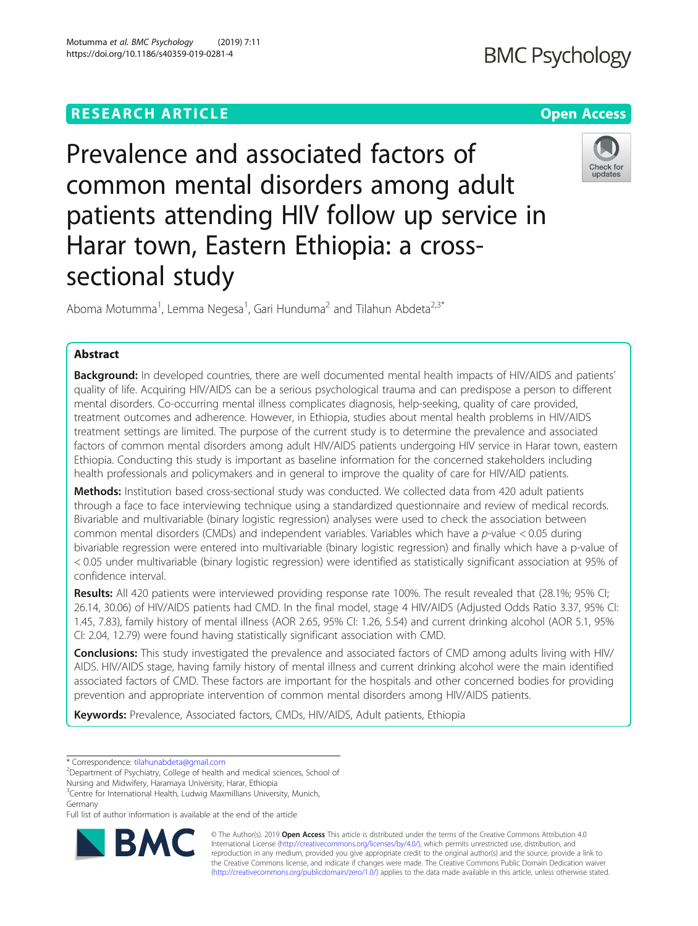# **RESEARCH ARTICLE Example 2018 12:30 THE Open Access**

Prevalence and associated factors of common mental disorders among adult patients attending HIV follow up service in Harar town, Eastern Ethiopia: a crosssectional study

Aboma Motumma<sup>1</sup>, Lemma Negesa<sup>1</sup>, Gari Hunduma<sup>2</sup> and Tilahun Abdeta<sup>2,3\*</sup>

# Abstract

Background: In developed countries, there are well documented mental health impacts of HIV/AIDS and patients' quality of life. Acquiring HIV/AIDS can be a serious psychological trauma and can predispose a person to different mental disorders. Co-occurring mental illness complicates diagnosis, help-seeking, quality of care provided, treatment outcomes and adherence. However, in Ethiopia, studies about mental health problems in HIV/AIDS treatment settings are limited. The purpose of the current study is to determine the prevalence and associated factors of common mental disorders among adult HIV/AIDS patients undergoing HIV service in Harar town, eastern Ethiopia. Conducting this study is important as baseline information for the concerned stakeholders including health professionals and policymakers and in general to improve the quality of care for HIV/AID patients.

Methods: Institution based cross-sectional study was conducted. We collected data from 420 adult patients through a face to face interviewing technique using a standardized questionnaire and review of medical records. Bivariable and multivariable (binary logistic regression) analyses were used to check the association between common mental disorders (CMDs) and independent variables. Variables which have a p-value  $< 0.05$  during bivariable regression were entered into multivariable (binary logistic regression) and finally which have a p-value of < 0.05 under multivariable (binary logistic regression) were identified as statistically significant association at 95% of confidence interval.

Results: All 420 patients were interviewed providing response rate 100%. The result revealed that (28.1%; 95% CI; 26.14, 30.06) of HIV/AIDS patients had CMD. In the final model, stage 4 HIV/AIDS (Adjusted Odds Ratio 3.37, 95% CI: 1.45, 7.83), family history of mental illness (AOR 2.65, 95% CI: 1.26, 5.54) and current drinking alcohol (AOR 5.1, 95% CI: 2.04, 12.79) were found having statistically significant association with CMD.

Conclusions: This study investigated the prevalence and associated factors of CMD among adults living with HIV/ AIDS. HIV/AIDS stage, having family history of mental illness and current drinking alcohol were the main identified associated factors of CMD. These factors are important for the hospitals and other concerned bodies for providing prevention and appropriate intervention of common mental disorders among HIV/AIDS patients.

Keywords: Prevalence, Associated factors, CMDs, HIV/AIDS, Adult patients, Ethiopia

<sup>2</sup>Department of Psychiatry, College of health and medical sciences, School of

Nursing and Midwifery, Haramaya University, Harar, Ethiopia <sup>3</sup> Centre for International Health, Ludwig Maxmillians University, Munich,

Germany



© The Author(s). 2019 **Open Access** This article is distributed under the terms of the Creative Commons Attribution 4.0 International License [\(http://creativecommons.org/licenses/by/4.0/](http://creativecommons.org/licenses/by/4.0/)), which permits unrestricted use, distribution, and reproduction in any medium, provided you give appropriate credit to the original author(s) and the source, provide a link to the Creative Commons license, and indicate if changes were made. The Creative Commons Public Domain Dedication waiver [\(http://creativecommons.org/publicdomain/zero/1.0/](http://creativecommons.org/publicdomain/zero/1.0/)) applies to the data made available in this article, unless otherwise stated.



Check for updates

<sup>\*</sup> Correspondence: [tilahunabdeta@gmail.com](mailto:tilahunabdeta@gmail.com) <sup>2</sup>

Full list of author information is available at the end of the article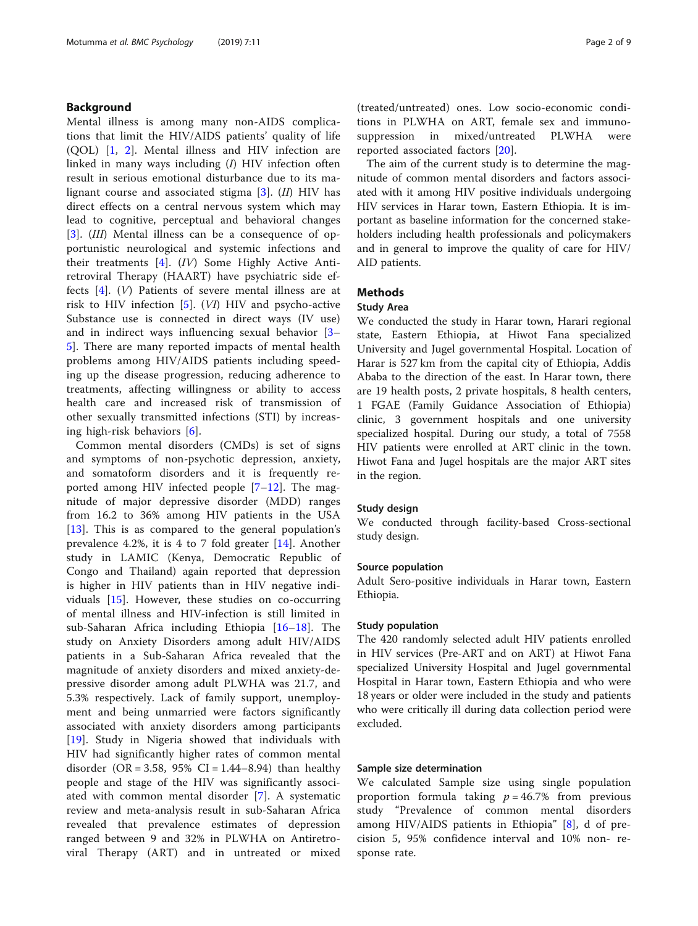# Background

Mental illness is among many non-AIDS complications that limit the HIV/AIDS patients' quality of life (QOL) [[1,](#page-8-0) [2\]](#page-8-0). Mental illness and HIV infection are linked in many ways including (I) HIV infection often result in serious emotional disturbance due to its malignant course and associated stigma  $[3]$  $[3]$ .  $(II)$  HIV has direct effects on a central nervous system which may lead to cognitive, perceptual and behavioral changes [[3\]](#page-8-0). (III) Mental illness can be a consequence of opportunistic neurological and systemic infections and their treatments [[4\]](#page-8-0). (IV) Some Highly Active Antiretroviral Therapy (HAART) have psychiatric side effects [\[4](#page-8-0)]. (V) Patients of severe mental illness are at risk to HIV infection  $[5]$  $[5]$ . (VI) HIV and psycho-active Substance use is connected in direct ways (IV use) and in indirect ways influencing sexual behavior [[3](#page-8-0)– [5\]](#page-8-0). There are many reported impacts of mental health problems among HIV/AIDS patients including speeding up the disease progression, reducing adherence to treatments, affecting willingness or ability to access health care and increased risk of transmission of other sexually transmitted infections (STI) by increasing high-risk behaviors [\[6](#page-8-0)].

Common mental disorders (CMDs) is set of signs and symptoms of non-psychotic depression, anxiety, and somatoform disorders and it is frequently reported among HIV infected people [\[7](#page-8-0)–[12](#page-8-0)]. The magnitude of major depressive disorder (MDD) ranges from 16.2 to 36% among HIV patients in the USA [[13\]](#page-8-0). This is as compared to the general population's prevalence 4.2%, it is 4 to 7 fold greater [[14\]](#page-8-0). Another study in LAMIC (Kenya, Democratic Republic of Congo and Thailand) again reported that depression is higher in HIV patients than in HIV negative individuals [\[15](#page-8-0)]. However, these studies on co-occurring of mental illness and HIV-infection is still limited in sub-Saharan Africa including Ethiopia [\[16](#page-8-0)–[18](#page-8-0)]. The study on Anxiety Disorders among adult HIV/AIDS patients in a Sub-Saharan Africa revealed that the magnitude of anxiety disorders and mixed anxiety-depressive disorder among adult PLWHA was 21.7, and 5.3% respectively. Lack of family support, unemployment and being unmarried were factors significantly associated with anxiety disorders among participants [[19\]](#page-8-0). Study in Nigeria showed that individuals with HIV had significantly higher rates of common mental disorder (OR = 3.58, 95% CI = 1.44–8.94) than healthy people and stage of the HIV was significantly associated with common mental disorder [[7](#page-8-0)]. A systematic review and meta-analysis result in sub-Saharan Africa revealed that prevalence estimates of depression ranged between 9 and 32% in PLWHA on Antiretroviral Therapy (ART) and in untreated or mixed (treated/untreated) ones. Low socio-economic conditions in PLWHA on ART, female sex and immunosuppression in mixed/untreated PLWHA were reported associated factors [[20\]](#page-8-0).

The aim of the current study is to determine the magnitude of common mental disorders and factors associated with it among HIV positive individuals undergoing HIV services in Harar town, Eastern Ethiopia. It is important as baseline information for the concerned stakeholders including health professionals and policymakers and in general to improve the quality of care for HIV/ AID patients.

# Methods

### Study Area

We conducted the study in Harar town, Harari regional state, Eastern Ethiopia, at Hiwot Fana specialized University and Jugel governmental Hospital. Location of Harar is 527 km from the capital city of Ethiopia, Addis Ababa to the direction of the east. In Harar town, there are 19 health posts, 2 private hospitals, 8 health centers, 1 FGAE (Family Guidance Association of Ethiopia) clinic, 3 government hospitals and one university specialized hospital. During our study, a total of 7558 HIV patients were enrolled at ART clinic in the town. Hiwot Fana and Jugel hospitals are the major ART sites in the region.

### Study design

We conducted through facility-based Cross-sectional study design.

### Source population

Adult Sero-positive individuals in Harar town, Eastern Ethiopia.

### Study population

The 420 randomly selected adult HIV patients enrolled in HIV services (Pre-ART and on ART) at Hiwot Fana specialized University Hospital and Jugel governmental Hospital in Harar town, Eastern Ethiopia and who were 18 years or older were included in the study and patients who were critically ill during data collection period were excluded.

### Sample size determination

We calculated Sample size using single population proportion formula taking  $p = 46.7\%$  from previous study "Prevalence of common mental disorders among HIV/AIDS patients in Ethiopia" [\[8](#page-8-0)], d of precision 5, 95% confidence interval and 10% non- response rate.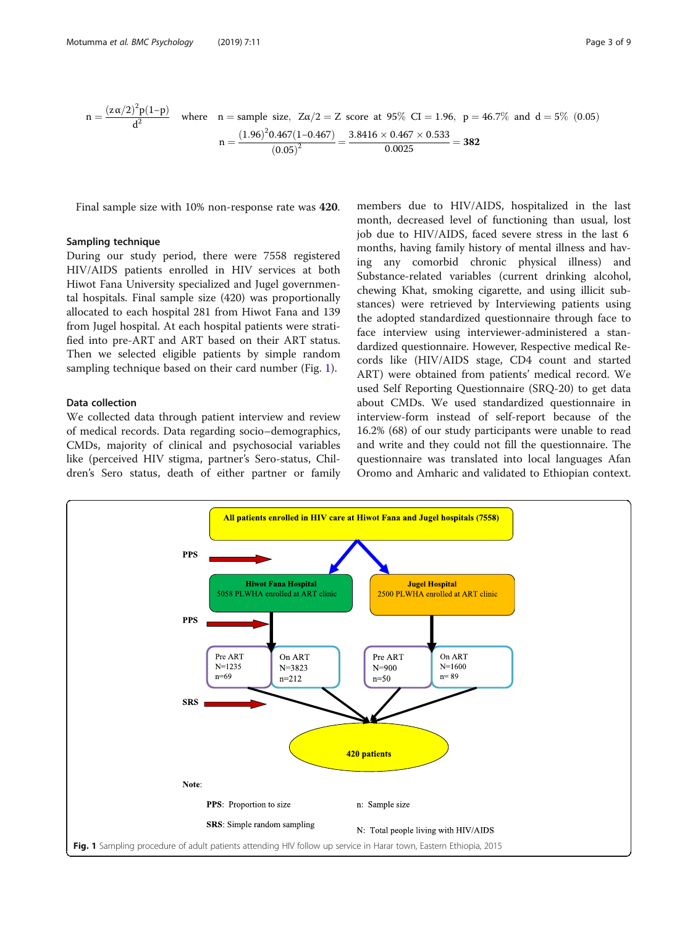$$
n = \frac{(z\alpha/2)^2 p(1-p)}{d^2}
$$
 where  $n = \text{sample size}$ ,  $Z\alpha/2 = Z$  score at 95% CI = 1.96,  $p = 46.7\%$  and  $d = 5\%$  (0.05)  

$$
n = \frac{(1.96)^2 0.467 (1 - 0.467)}{(0.05)^2} = \frac{3.8416 \times 0.467 \times 0.533}{0.0025} = 382
$$

Final sample size with 10% non-response rate was 420.

### Sampling technique

During our study period, there were 7558 registered HIV/AIDS patients enrolled in HIV services at both Hiwot Fana University specialized and Jugel governmental hospitals. Final sample size (420) was proportionally allocated to each hospital 281 from Hiwot Fana and 139 from Jugel hospital. At each hospital patients were stratified into pre-ART and ART based on their ART status. Then we selected eligible patients by simple random sampling technique based on their card number (Fig. 1).

# Data collection

We collected data through patient interview and review of medical records. Data regarding socio–demographics, CMDs, majority of clinical and psychosocial variables like (perceived HIV stigma, partner's Sero-status, Children's Sero status, death of either partner or family

members due to HIV/AIDS, hospitalized in the last month, decreased level of functioning than usual, lost job due to HIV/AIDS, faced severe stress in the last 6 months, having family history of mental illness and having any comorbid chronic physical illness) and Substance-related variables (current drinking alcohol, chewing Khat, smoking cigarette, and using illicit substances) were retrieved by Interviewing patients using the adopted standardized questionnaire through face to face interview using interviewer-administered a standardized questionnaire. However, Respective medical Records like (HIV/AIDS stage, CD4 count and started ART) were obtained from patients' medical record. We used Self Reporting Questionnaire (SRQ-20) to get data about CMDs. We used standardized questionnaire in interview-form instead of self-report because of the 16.2% (68) of our study participants were unable to read and write and they could not fill the questionnaire. The questionnaire was translated into local languages Afan Oromo and Amharic and validated to Ethiopian context.

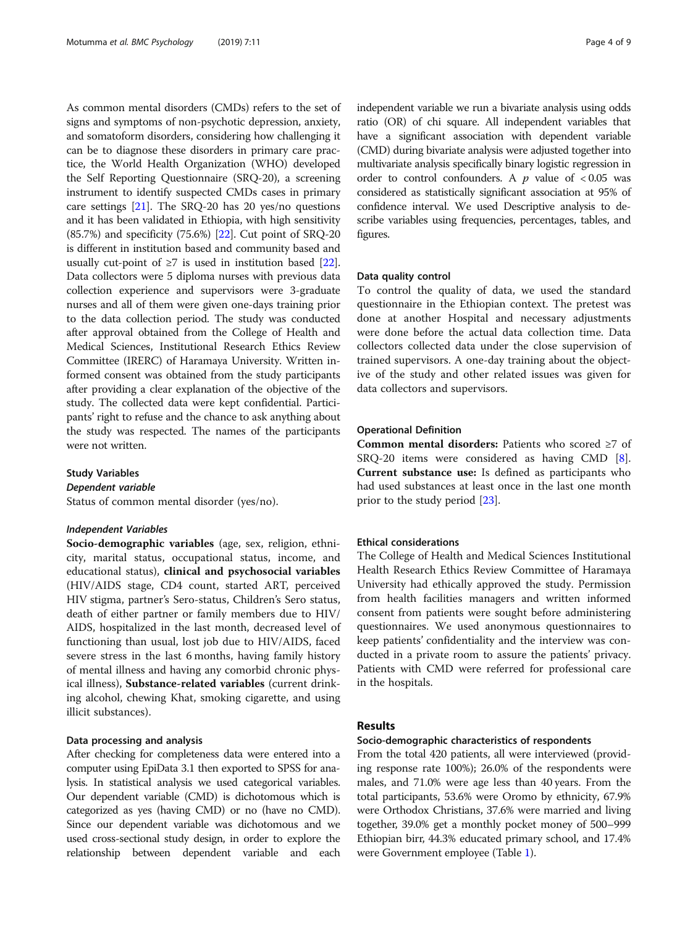As common mental disorders (CMDs) refers to the set of signs and symptoms of non-psychotic depression, anxiety, and somatoform disorders, considering how challenging it can be to diagnose these disorders in primary care practice, the World Health Organization (WHO) developed the Self Reporting Questionnaire (SRQ-20), a screening instrument to identify suspected CMDs cases in primary care settings [\[21\]](#page-8-0). The SRQ-20 has 20 yes/no questions and it has been validated in Ethiopia, with high sensitivity (85.7%) and specificity (75.6%) [[22](#page-8-0)]. Cut point of SRQ-20 is different in institution based and community based and usually cut-point of  $\geq 7$  is used in institution based [[22](#page-8-0)]. Data collectors were 5 diploma nurses with previous data collection experience and supervisors were 3-graduate nurses and all of them were given one-days training prior to the data collection period. The study was conducted after approval obtained from the College of Health and Medical Sciences, Institutional Research Ethics Review Committee (IRERC) of Haramaya University. Written informed consent was obtained from the study participants after providing a clear explanation of the objective of the study. The collected data were kept confidential. Participants' right to refuse and the chance to ask anything about the study was respected. The names of the participants were not written.

### Study Variables

### Dependent variable

Status of common mental disorder (yes/no).

### Independent Variables

Socio-demographic variables (age, sex, religion, ethnicity, marital status, occupational status, income, and educational status), clinical and psychosocial variables (HIV/AIDS stage, CD4 count, started ART, perceived HIV stigma, partner's Sero-status, Children's Sero status, death of either partner or family members due to HIV/ AIDS, hospitalized in the last month, decreased level of functioning than usual, lost job due to HIV/AIDS, faced severe stress in the last 6 months, having family history of mental illness and having any comorbid chronic physical illness), Substance-related variables (current drinking alcohol, chewing Khat, smoking cigarette, and using illicit substances).

### Data processing and analysis

After checking for completeness data were entered into a computer using EpiData 3.1 then exported to SPSS for analysis. In statistical analysis we used categorical variables. Our dependent variable (CMD) is dichotomous which is categorized as yes (having CMD) or no (have no CMD). Since our dependent variable was dichotomous and we used cross-sectional study design, in order to explore the relationship between dependent variable and each independent variable we run a bivariate analysis using odds ratio (OR) of chi square. All independent variables that have a significant association with dependent variable (CMD) during bivariate analysis were adjusted together into multivariate analysis specifically binary logistic regression in order to control confounders. A  $p$  value of  $< 0.05$  was considered as statistically significant association at 95% of confidence interval. We used Descriptive analysis to describe variables using frequencies, percentages, tables, and figures.

#### Data quality control

To control the quality of data, we used the standard questionnaire in the Ethiopian context. The pretest was done at another Hospital and necessary adjustments were done before the actual data collection time. Data collectors collected data under the close supervision of trained supervisors. A one-day training about the objective of the study and other related issues was given for data collectors and supervisors.

### Operational Definition

Common mental disorders: Patients who scored ≥7 of SRQ-20 items were considered as having CMD [\[8](#page-8-0)]. Current substance use: Is defined as participants who had used substances at least once in the last one month prior to the study period [\[23\]](#page-8-0).

### Ethical considerations

The College of Health and Medical Sciences Institutional Health Research Ethics Review Committee of Haramaya University had ethically approved the study. Permission from health facilities managers and written informed consent from patients were sought before administering questionnaires. We used anonymous questionnaires to keep patients' confidentiality and the interview was conducted in a private room to assure the patients' privacy. Patients with CMD were referred for professional care in the hospitals.

### Results

### Socio-demographic characteristics of respondents

From the total 420 patients, all were interviewed (providing response rate 100%); 26.0% of the respondents were males, and 71.0% were age less than 40 years. From the total participants, 53.6% were Oromo by ethnicity, 67.9% were Orthodox Christians, 37.6% were married and living together, 39.0% get a monthly pocket money of 500–999 Ethiopian birr, 44.3% educated primary school, and 17.4% were Government employee (Table [1](#page-4-0)).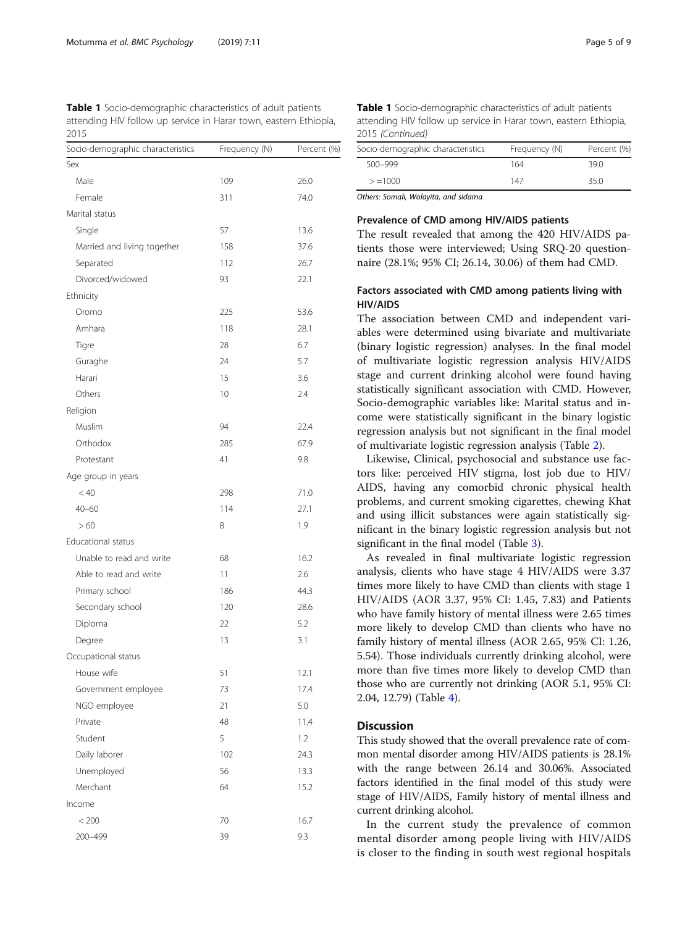<span id="page-4-0"></span>Table 1 Socio-demographic characteristics of adult patients attending HIV follow up service in Harar town, eastern Ethiopia, 2015

| Socio-demographic characteristics | Frequency (N) | Percent (%) |
|-----------------------------------|---------------|-------------|
| Sex                               |               |             |
| Male                              | 109           | 26.0        |
| Female                            | 311           | 74.0        |
| Marital status                    |               |             |
| Single                            | 57            | 13.6        |
| Married and living together       | 158           | 37.6        |
| Separated                         | 112           | 26.7        |
| Divorced/widowed                  | 93            | 22.1        |
| Ethnicity                         |               |             |
| Oromo                             | 225           | 53.6        |
| Amhara                            | 118           | 28.1        |
| Tigre                             | 28            | 6.7         |
| Guraghe                           | 24            | 5.7         |
| Harari                            | 15            | 3.6         |
| Others                            | 10            | 2.4         |
| Religion                          |               |             |
| Muslim                            | 94            | 22.4        |
| Orthodox                          | 285           | 67.9        |
| Protestant                        | 41            | 9.8         |
| Age group in years                |               |             |
| < 40                              | 298           | 71.0        |
| $40 - 60$                         | 114           | 27.1        |
| >60                               | 8             | 1.9         |
| <b>Educational status</b>         |               |             |
| Unable to read and write          | 68            | 16.2        |
| Able to read and write            | 11            | 2.6         |
| Primary school                    | 186           | 44.3        |
| Secondary school                  | 120           | 28.6        |
| Diploma                           | 22            | 5.2         |
| Degree                            | 13            | 3.1         |
| Occupational status               |               |             |
| House wife                        | 51            | 12.1        |
| Government employee               | 73            | 17.4        |
| NGO employee                      | 21            | 5.0         |
| Private                           | 48            | 11.4        |
| Student                           | 5             | 1.2         |
| Daily laborer                     | 102           | 24.3        |
| Unemployed                        | 56            | 13.3        |
| Merchant                          | 64            | 15.2        |
| Income                            |               |             |
| < 200                             | 70            | 16.7        |
| 200-499                           | 39            | 9.3         |

Table 1 Socio-demographic characteristics of adult patients attending HIV follow up service in Harar town, eastern Ethiopia, 2015 (Continued)

| Socio-demographic characteristics | Frequency (N) | Percent (%) |
|-----------------------------------|---------------|-------------|
| 500-999                           | 164           | 39 O        |
| $> = 1000$                        | 147           | 35.0        |

Others: Somali, Wolayita, and sidama

### Prevalence of CMD among HIV/AIDS patients

The result revealed that among the 420 HIV/AIDS patients those were interviewed; Using SRQ-20 questionnaire (28.1%; 95% CI; 26.14, 30.06) of them had CMD.

# Factors associated with CMD among patients living with HIV/AIDS

The association between CMD and independent variables were determined using bivariate and multivariate (binary logistic regression) analyses. In the final model of multivariate logistic regression analysis HIV/AIDS stage and current drinking alcohol were found having statistically significant association with CMD. However, Socio-demographic variables like: Marital status and income were statistically significant in the binary logistic regression analysis but not significant in the final model of multivariate logistic regression analysis (Table [2](#page-5-0)).

Likewise, Clinical, psychosocial and substance use factors like: perceived HIV stigma, lost job due to HIV/ AIDS, having any comorbid chronic physical health problems, and current smoking cigarettes, chewing Khat and using illicit substances were again statistically significant in the binary logistic regression analysis but not significant in the final model (Table [3\)](#page-6-0).

As revealed in final multivariate logistic regression analysis, clients who have stage 4 HIV/AIDS were 3.37 times more likely to have CMD than clients with stage 1 HIV/AIDS (AOR 3.37, 95% CI: 1.45, 7.83) and Patients who have family history of mental illness were 2.65 times more likely to develop CMD than clients who have no family history of mental illness (AOR 2.65, 95% CI: 1.26, 5.54). Those individuals currently drinking alcohol, were more than five times more likely to develop CMD than those who are currently not drinking (AOR 5.1, 95% CI: 2.04, 12.79) (Table [4\)](#page-7-0).

### **Discussion**

This study showed that the overall prevalence rate of common mental disorder among HIV/AIDS patients is 28.1% with the range between 26.14 and 30.06%. Associated factors identified in the final model of this study were stage of HIV/AIDS, Family history of mental illness and current drinking alcohol.

In the current study the prevalence of common mental disorder among people living with HIV/AIDS is closer to the finding in south west regional hospitals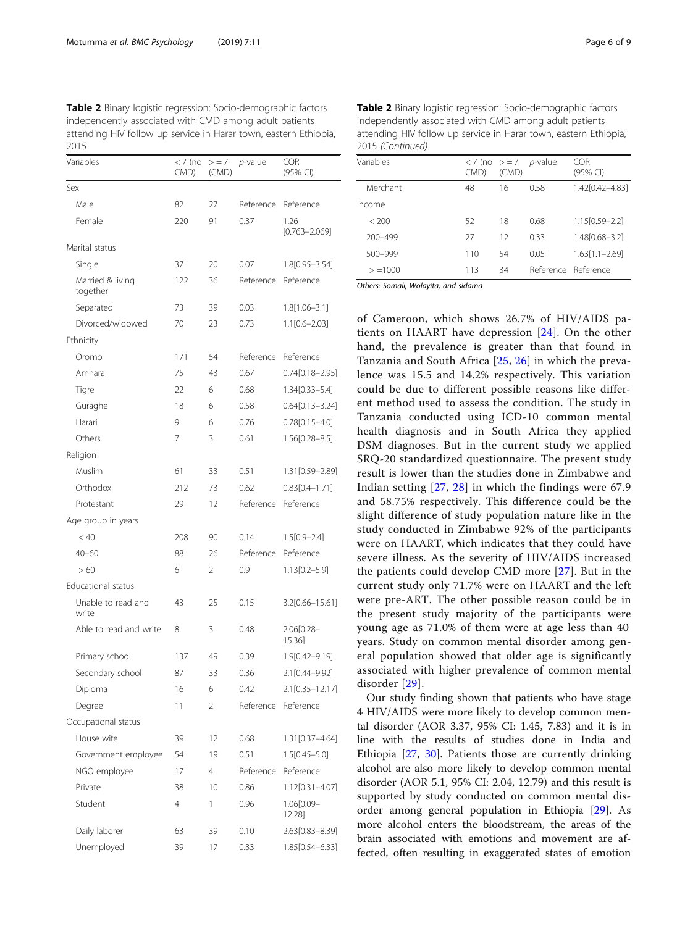<span id="page-5-0"></span>Table 2 Binary logistic regression: Socio-demographic factors independently associated with CMD among adult patients attending HIV follow up service in Harar town, eastern Ethiopia, 2015

| Variables                    | $<$ 7 (no<br>CMD) | $> = 7$<br>(CMD) | <i>p</i> -value | <b>COR</b><br>(95% CI)    |
|------------------------------|-------------------|------------------|-----------------|---------------------------|
| Sex                          |                   |                  |                 |                           |
| Male                         | 82                | 27               | Reference       | Reference                 |
| Female                       | 220               | 91               | 0.37            | 1.26<br>$[0.763 - 2.069]$ |
| Marital status               |                   |                  |                 |                           |
| Single                       | 37                | 20               | 0.07            | 1.8[0.95-3.54]            |
| Married & living<br>together | 122               | 36               | Reference       | Reference                 |
| Separated                    | 73                | 39               | 0.03            | $1.8[1.06 - 3.1]$         |
| Divorced/widowed             | 70                | 23               | 0.73            | $1.1[0.6 - 2.03]$         |
| Ethnicity                    |                   |                  |                 |                           |
| Oromo                        | 171               | 54               | Reference       | Reference                 |
| Amhara                       | 75                | 43               | 0.67            | $0.74[0.18 - 2.95]$       |
| Tigre                        | 22                | 6                | 0.68            | $1.34[0.33 - 5.4]$        |
| Guraghe                      | 18                | 6                | 0.58            | $0.64[0.13 - 3.24]$       |
| Harari                       | 9                 | 6                | 0.76            | $0.78[0.15 - 4.0]$        |
| Others                       | 7                 | 3                | 0.61            | $1.56[0.28 - 8.5]$        |
| Religion                     |                   |                  |                 |                           |
| Muslim                       | 61                | 33               | 0.51            | 1.31[0.59-2.89]           |
| Orthodox                     | 212               | 73               | 0.62            | $0.83[0.4 - 1.71]$        |
| Protestant                   | 29                | 12               | Reference       | Reference                 |
| Age group in years           |                   |                  |                 |                           |
| < 40                         | 208               | 90               | 0.14            | $1.5[0.9 - 2.4]$          |
| $40 - 60$                    | 88                | 26               | Reference       | Reference                 |
| >60                          | 6                 | 2                | 0.9             | $1.13[0.2 - 5.9]$         |
| Educational status           |                   |                  |                 |                           |
| Unable to read and<br>write  | 43                | 25               | 0.15            | 3.2[0.66-15.61]           |
| Able to read and write       | 8                 | 3                | 0.48            | 2.06[0.28-<br>15.36]      |
| Primary school               | 137               | 49               | 0.39            | 1.9[0.42-9.19]            |
| Secondary school             | 87                | 33               | 0.36            | 2.1[0.44-9.92]            |
| Diploma                      | 16                | 6                | 0.42            | 2.1[0.35-12.17]           |
| Degree                       | 11                | 2                | Reference       | Reference                 |
| Occupational status          |                   |                  |                 |                           |
| House wife                   | 39                | 12               | 0.68            | 1.31[0.37-4.64]           |
| Government employee          | 54                | 19               | 0.51            | $1.5[0.45 - 5.0]$         |
| NGO employee                 | 17                | 4                | Reference       | Reference                 |
| Private                      | 38                | 10               | 0.86            | 1.12[0.31-4.07]           |
| Student                      | 4                 | 1                | 0.96            | 1.06[0.09-<br>12.28]      |
| Daily laborer                | 63                | 39               | 0.10            | 2.63[0.83-8.39]           |
| Unemployed                   | 39                | 17               | 0.33            | 1.85[0.54–6.33]           |

| 2015 (Continued) |      |       |                                                                 |                     |
|------------------|------|-------|-----------------------------------------------------------------|---------------------|
| Variables        | CMD) | (CMD) | $\langle 7 \rangle$ (no $\langle 7 \rangle = 7$ <i>p</i> -value | COR<br>(95% CI)     |
| Merchant         | 48   | 16    | 0.58                                                            | 1.42[0.42-4.83]     |
| Income           |      |       |                                                                 |                     |
| < 200            | 52   | 18    | 0.68                                                            | $1.15[0.59 - 2.2]$  |
| 200-499          | 27   | 12    | 0.33                                                            | 1.48 [0.68 - 3.2]   |
| 500-999          | 110  | 54    | 0.05                                                            | $1.63[1.1 - 2.69]$  |
| $> = 1000$       | 113  | 34    |                                                                 | Reference Reference |

Table 2 Binary logistic regression: Socio-demographic factors independently associated with CMD among adult patients attending HIV follow up service in Harar town, eastern Ethiopia, 2015 (Continued)

Others: Somali, Wolayita, and sidama

of Cameroon, which shows 26.7% of HIV/AIDS patients on HAART have depression [[24\]](#page-8-0). On the other hand, the prevalence is greater than that found in Tanzania and South Africa [[25](#page-8-0), [26\]](#page-8-0) in which the prevalence was 15.5 and 14.2% respectively. This variation could be due to different possible reasons like different method used to assess the condition. The study in Tanzania conducted using ICD-10 common mental health diagnosis and in South Africa they applied DSM diagnoses. But in the current study we applied SRQ-20 standardized questionnaire. The present study result is lower than the studies done in Zimbabwe and Indian setting [[27,](#page-8-0) [28\]](#page-8-0) in which the findings were 67.9 and 58.75% respectively. This difference could be the slight difference of study population nature like in the study conducted in Zimbabwe 92% of the participants were on HAART, which indicates that they could have severe illness. As the severity of HIV/AIDS increased the patients could develop CMD more [[27\]](#page-8-0). But in the current study only 71.7% were on HAART and the left were pre-ART. The other possible reason could be in the present study majority of the participants were young age as 71.0% of them were at age less than 40 years. Study on common mental disorder among general population showed that older age is significantly associated with higher prevalence of common mental disorder [[29](#page-8-0)].

Our study finding shown that patients who have stage 4 HIV/AIDS were more likely to develop common mental disorder (AOR 3.37, 95% CI: 1.45, 7.83) and it is in line with the results of studies done in India and Ethiopia [\[27](#page-8-0), [30](#page-8-0)]. Patients those are currently drinking alcohol are also more likely to develop common mental disorder (AOR 5.1, 95% CI: 2.04, 12.79) and this result is supported by study conducted on common mental disorder among general population in Ethiopia [[29\]](#page-8-0). As more alcohol enters the bloodstream, the areas of the brain associated with emotions and movement are affected, often resulting in exaggerated states of emotion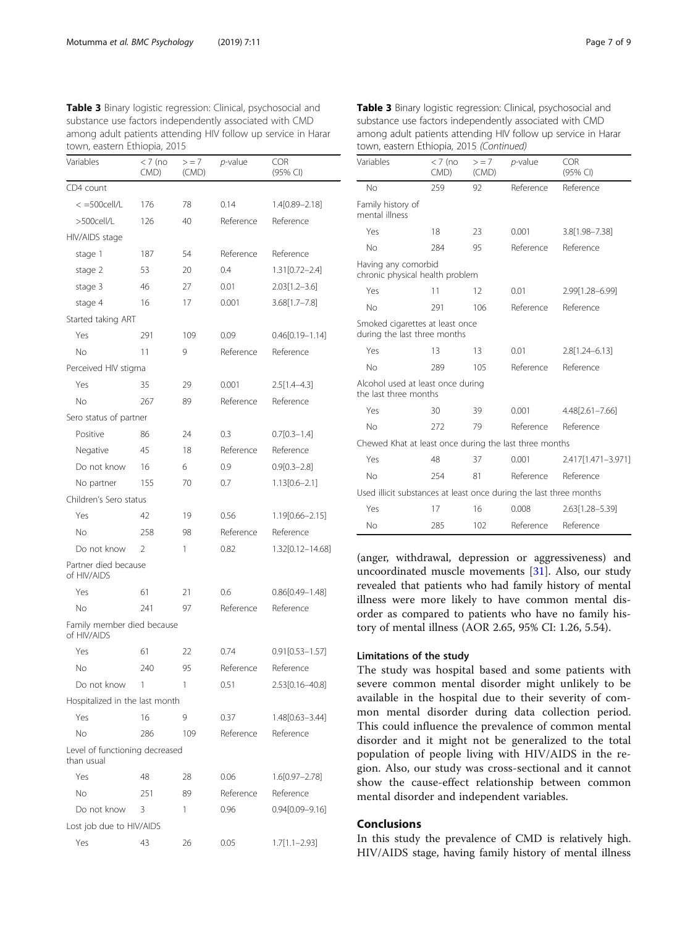| Variables                                    | $<$ 7 (no<br>CMD) | $> = 7$<br>(CMD) | <i>p</i> -value | <b>COR</b><br>(95% CI) |
|----------------------------------------------|-------------------|------------------|-----------------|------------------------|
| CD4 count                                    |                   |                  |                 |                        |
| $<$ =500cell/L                               | 176               | 78               | 0.14            | 1.4[0.89-2.18]         |
| >500cell/L                                   | 126               | 40               | Reference       | Reference              |
| HIV/AIDS stage                               |                   |                  |                 |                        |
| stage 1                                      | 187               | 54               | Reference       | Reference              |
| stage 2                                      | 53                | 20               | 0.4             | $1.31[0.72 - 2.4]$     |
| stage 3                                      | 46                | 27               | 0.01            | $2.03[1.2 - 3.6]$      |
| stage 4                                      | 16                | 17               | 0.001           | $3.68[1.7 - 7.8]$      |
| Started taking ART                           |                   |                  |                 |                        |
| Yes                                          | 291               | 109              | 0.09            | $0.46[0.19 - 1.14]$    |
| No                                           | 11                | 9                | Reference       | Reference              |
| Perceived HIV stigma                         |                   |                  |                 |                        |
| Yes                                          | 35                | 29               | 0.001           | $2.5[1.4-4.3]$         |
| No                                           | 267               | 89               | Reference       | Reference              |
| Sero status of partner                       |                   |                  |                 |                        |
| Positive                                     | 86                | 24               | 0.3             | $0.7[0.3 - 1.4]$       |
| Negative                                     | 45                | 18               | Reference       | Reference              |
| Do not know                                  | 16                | 6                | 0.9             | $0.9[0.3 - 2.8]$       |
| No partner                                   | 155               | 70               | 0.7             | $1.13[0.6 - 2.1]$      |
| Children's Sero status                       |                   |                  |                 |                        |
| Yes                                          | 42                | 19               | 0.56            | 1.19[0.66-2.15]        |
| No                                           | 258               | 98               | Reference       | Reference              |
| Do not know                                  | 2                 | 1                | 0.82            | 1.32[0.12-14.68]       |
| Partner died because<br>of HIV/AIDS          |                   |                  |                 |                        |
| Yes                                          | 61                | 21               | 0.6             | $0.86[0.49 - 1.48]$    |
| No                                           | 241               | 97               | Reference       | Reference              |
| Family member died because<br>of HIV/AIDS    |                   |                  |                 |                        |
| Yes                                          | 61                | 22               | 0.74            | $0.91[0.53 - 1.57]$    |
| No                                           | 240               | 95               | Reference       | Reference              |
| Do not know                                  | 1                 | 1                | 0.51            | 2.53[0.16-40.8]        |
| Hospitalized in the last month               |                   |                  |                 |                        |
| Yes                                          | 16                | 9                | 0.37            | 1.48[0.63-3.44]        |
| Νo                                           | 286               | 109              | Reference       | Reference              |
| Level of functioning decreased<br>than usual |                   |                  |                 |                        |
| Yes                                          | 48                | 28               | 0.06            | 1.6[0.97-2.78]         |
| Νo                                           | 251               | 89               | Reference       | Reference              |
| Do not know                                  | 3                 | 1                | 0.96            | $0.94[0.09 - 9.16]$    |
| Lost job due to HIV/AIDS                     |                   |                  |                 |                        |
| Yes                                          | 43                | 26               | 0.05            | $1.7[1.1-2.93]$        |

<span id="page-6-0"></span>Table 3 Binary logistic regression: Clinical, psychosocial and substance use factors independently associated with CMD among adult patients attending HIV follow up service in Harar town, eastern Ethiopia, 2015

| town, eastern Ethiopia, 2015 (Continued)                           |                   |                  |            |                        |
|--------------------------------------------------------------------|-------------------|------------------|------------|------------------------|
| Variables                                                          | $< 7$ (no<br>CMD) | $> = 7$<br>(CMD) | $p$ -value | <b>COR</b><br>(95% CI) |
| No                                                                 | 259               | 92               | Reference  | Reference              |
| Family history of<br>mental illness                                |                   |                  |            |                        |
| Yes                                                                | 18                | 23               | 0.001      | 3.8[1.98-7.38]         |
| No                                                                 | 284               | 95               | Reference  | Reference              |
| Having any comorbid<br>chronic physical health problem             |                   |                  |            |                        |
| Yes                                                                | 11                | 12               | 0.01       | 2.99 [1.28 - 6.99]     |
| <b>No</b>                                                          | 291               | 106              | Reference  | Reference              |
| Smoked cigarettes at least once<br>during the last three months    |                   |                  |            |                        |
| Yes                                                                | 13                | 13               | 0.01       | $2.8[1.24 - 6.13]$     |
| No                                                                 | 289               | 105              | Reference  | Reference              |
| Alcohol used at least once during<br>the last three months         |                   |                  |            |                        |
| Yes                                                                | 30                | 39               | 0.001      | 4.48[2.61-7.66]        |
| No                                                                 | 272               | 79               | Reference  | Reference              |
| Chewed Khat at least once during the last three months             |                   |                  |            |                        |
| Yes                                                                | 48                | 37               | 0.001      | 2.417[1.471-3.971]     |
| No                                                                 | 254               | 81               | Reference  | Reference              |
| Used illicit substances at least once during the last three months |                   |                  |            |                        |
| Yes                                                                | 17                | 16               | 0.008      | 2.63[1.28-5.39]        |
| No                                                                 | 285               | 102              | Reference  | Reference              |

Table 3 Binary logistic regression: Clinical, psychosocial and substance use factors independently associated with CMD among adult patients attending HIV follow up service in Harar

(anger, withdrawal, depression or aggressiveness) and uncoordinated muscle movements [[31\]](#page-8-0). Also, our study revealed that patients who had family history of mental illness were more likely to have common mental disorder as compared to patients who have no family history of mental illness (AOR 2.65, 95% CI: 1.26, 5.54).

## Limitations of the study

The study was hospital based and some patients with severe common mental disorder might unlikely to be available in the hospital due to their severity of common mental disorder during data collection period. This could influence the prevalence of common mental disorder and it might not be generalized to the total population of people living with HIV/AIDS in the region. Also, our study was cross-sectional and it cannot show the cause-effect relationship between common mental disorder and independent variables.

# Conclusions

In this study the prevalence of CMD is relatively high. HIV/AIDS stage, having family history of mental illness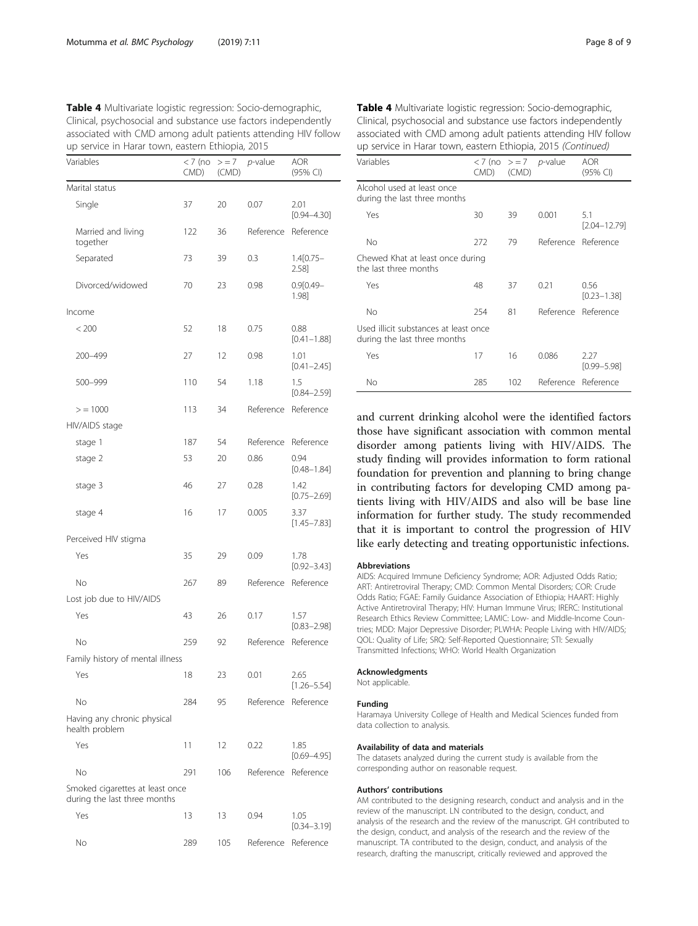| up service in Harar town, eastern Ethiopia, 2015                |                   |                  |                     |                         |
|-----------------------------------------------------------------|-------------------|------------------|---------------------|-------------------------|
| Variables                                                       | $<$ 7 (no<br>CMD) | $> = 7$<br>(CMD) | $p$ -value          | AOR<br>(95% CI)         |
| Marital status                                                  |                   |                  |                     |                         |
| Single                                                          | 37                | 20               | 0.07                | 2.01<br>$[0.94 - 4.30]$ |
| Married and living<br>together                                  | 122               | 36               | Reference           | Reference               |
| Separated                                                       | 73                | 39               | 0.3                 | $1.4[0.75-$<br>2.58]    |
| Divorced/widowed                                                | 70                | 23               | 0.98                | $0.9[0.49 -$<br>1.98]   |
| Income                                                          |                   |                  |                     |                         |
| < 200                                                           | 52                | 18               | 0.75                | 0.88<br>$[0.41 - 1.88]$ |
| 200-499                                                         | 27                | 12               | 0.98                | 1.01<br>$[0.41 - 2.45]$ |
| 500-999                                                         | 110               | 54               | 1.18                | 1.5<br>$[0.84 - 2.59]$  |
| > 1000                                                          | 113               | 34               | Reference           | Reference               |
| HIV/AIDS stage                                                  |                   |                  |                     |                         |
| stage 1                                                         | 187               | 54               | Reference           | Reference               |
| stage 2                                                         | 53                | 20               | 0.86                | 0.94<br>$[0.48 - 1.84]$ |
| stage 3                                                         | 46                | 27               | 0.28                | 1.42<br>$[0.75 - 2.69]$ |
| stage 4                                                         | 16                | 17               | 0.005               | 3.37<br>$[1.45 - 7.83]$ |
| Perceived HIV stigma                                            |                   |                  |                     |                         |
| Yes                                                             | 35                | 29               | 0.09                | 1.78<br>$[0.92 - 3.43]$ |
| No                                                              | 267               | 89               | Reference           | Reference               |
| Lost job due to HIV/AIDS                                        |                   |                  |                     |                         |
| Yes                                                             | 43                | 26               | 0.17                | 1.57<br>$[0.83 - 2.98]$ |
| No                                                              | 259               | 92               | Reference           | Reference               |
| Family history of mental illness                                |                   |                  |                     |                         |
| Yes                                                             | 18                | 23               | 0.01                | 2.65<br>$[1.26 - 5.54]$ |
| No                                                              | 284               | 95               | Reference           | Reference               |
| Having any chronic physical<br>health problem                   |                   |                  |                     |                         |
| Yes                                                             | 11                | 12               | 0.22                | 1.85<br>$[0.69 - 4.95]$ |
| No                                                              | 291               | 106              | Reference           | Reference               |
| Smoked cigarettes at least once<br>during the last three months |                   |                  |                     |                         |
| Yes                                                             | 13                | 13               | 0.94                | 1.05<br>$[0.34 - 3.19]$ |
| No                                                              | 289               | 105              | Reference Reference |                         |

<span id="page-7-0"></span>

| Table 4 Multivariate logistic regression: Socio-demographic,   |
|----------------------------------------------------------------|
| Clinical, psychosocial and substance use factors independently |
| associated with CMD among adult patients attending HIV follow  |
| up service in Harar town, eastern Ethiopia, 2015               |

| up service in Harar town, eastern Ethiopia, 2015 (Continued) |            |    |                           |                         |
|--------------------------------------------------------------|------------|----|---------------------------|-------------------------|
| Variables                                                    | CMD) (CMD) |    | $<$ 7 (no $>$ = 7 p-value | AOR<br>$(95%$ CI)       |
| Alcohol used at least once<br>during the last three months   |            |    |                           |                         |
| Yes                                                          | 30         | 39 | 0.001                     | 5.1<br>$[2.04 - 12.79]$ |
| <b>No</b>                                                    | 272        | 79 |                           | Reference Reference     |
| Chewed Khat at least once during<br>the last three months    |            |    |                           |                         |
| Yes                                                          | 48         | 37 | 0.21                      | 0.56                    |

No 254 81 Reference Reference

Yes 17 16 0.086 2.27

Used illicit substances at least once during the last three months

and current drinking alcohol were the identified factors those have significant association with common mental disorder among patients living with HIV/AIDS. The study finding will provides information to form rational foundation for prevention and planning to bring change in contributing factors for developing CMD among patients living with HIV/AIDS and also will be base line information for further study. The study recommended that it is important to control the progression of HIV like early detecting and treating opportunistic infections. No 285 102 Reference Reference

#### **Abbreviations**

AIDS: Acquired Immune Deficiency Syndrome; AOR: Adjusted Odds Ratio; ART: Antiretroviral Therapy; CMD: Common Mental Disorders; COR: Crude Odds Ratio; FGAE: Family Guidance Association of Ethiopia; HAART: Highly Active Antiretroviral Therapy; HIV: Human Immune Virus; IRERC: Institutional Research Ethics Review Committee; LAMIC: Low- and Middle-Income Countries; MDD: Major Depressive Disorder; PLWHA: People Living with HIV/AIDS; QOL: Quality of Life; SRQ: Self-Reported Questionnaire; STI: Sexually Transmitted Infections; WHO: World Health Organization

### Acknowledgments

Not applicable.

#### Funding

Haramaya University College of Health and Medical Sciences funded from data collection to analysis.

#### Availability of data and materials

The datasets analyzed during the current study is available from the corresponding author on reasonable request.

### Authors' contributions

AM contributed to the designing research, conduct and analysis and in the review of the manuscript. LN contributed to the design, conduct, and analysis of the research and the review of the manuscript. GH contributed to the design, conduct, and analysis of the research and the review of the manuscript. TA contributed to the design, conduct, and analysis of the research, drafting the manuscript, critically reviewed and approved the

[0.23–1.38]

[0.99–5.98]

| Table 4 Multivariate logistic regression: Socio-demographic,   |
|----------------------------------------------------------------|
| Clinical, psychosocial and substance use factors independently |
| associated with CMD among adult patients attending HIV follow  |
| up service in Harar town, eastern Ethiopia, 2015 (Continued)   |